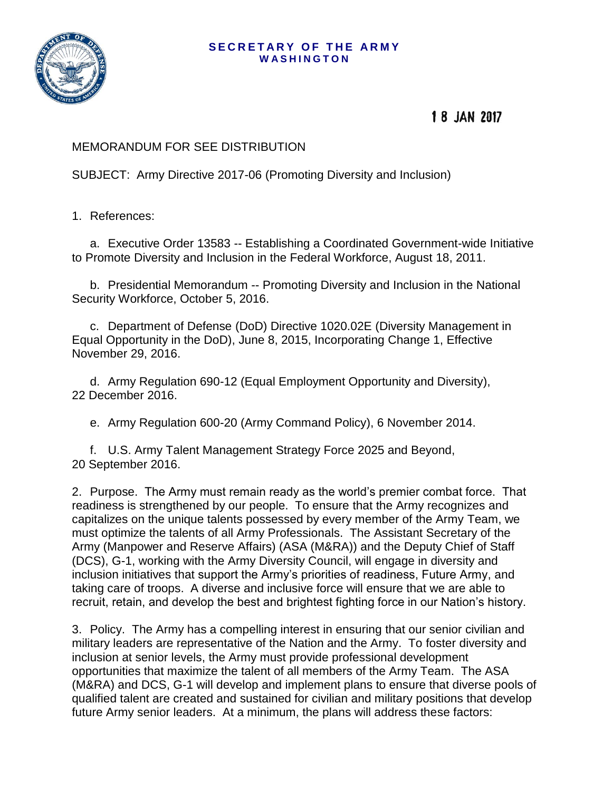## **SECRETARY OF THE ARMY W A S H I N G T O N**



18 JAN 2017

## MEMORANDUM FOR SEE DISTRIBUTION

SUBJECT: Army Directive 2017-06 (Promoting Diversity and Inclusion)

1. References:

a. Executive Order 13583 -- Establishing a Coordinated Government-wide Initiative to Promote Diversity and Inclusion in the Federal Workforce, August 18, 2011.

b. Presidential Memorandum -- Promoting Diversity and Inclusion in the National Security Workforce, October 5, 2016.

c. Department of Defense (DoD) Directive 1020.02E (Diversity Management in Equal Opportunity in the DoD), June 8, 2015, Incorporating Change 1, Effective November 29, 2016.

d. Army Regulation 690-12 (Equal Employment Opportunity and Diversity), 22 December 2016.

e. Army Regulation 600-20 (Army Command Policy), 6 November 2014.

f. U.S. Army Talent Management Strategy Force 2025 and Beyond, 20 September 2016.

2. Purpose. The Army must remain ready as the world's premier combat force. That readiness is strengthened by our people. To ensure that the Army recognizes and capitalizes on the unique talents possessed by every member of the Army Team, we must optimize the talents of all Army Professionals. The Assistant Secretary of the Army (Manpower and Reserve Affairs) (ASA (M&RA)) and the Deputy Chief of Staff (DCS), G-1, working with the Army Diversity Council, will engage in diversity and inclusion initiatives that support the Army's priorities of readiness, Future Army, and taking care of troops. A diverse and inclusive force will ensure that we are able to recruit, retain, and develop the best and brightest fighting force in our Nation's history.

3. Policy. The Army has a compelling interest in ensuring that our senior civilian and military leaders are representative of the Nation and the Army. To foster diversity and inclusion at senior levels, the Army must provide professional development opportunities that maximize the talent of all members of the Army Team. The ASA (M&RA) and DCS, G-1 will develop and implement plans to ensure that diverse pools of qualified talent are created and sustained for civilian and military positions that develop future Army senior leaders. At a minimum, the plans will address these factors: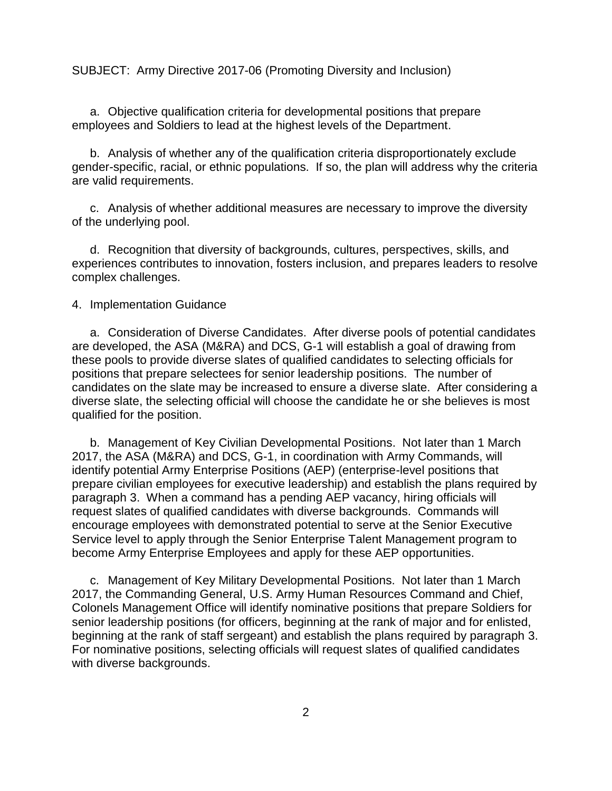SUBJECT: Army Directive 2017-06 (Promoting Diversity and Inclusion)

a. Objective qualification criteria for developmental positions that prepare employees and Soldiers to lead at the highest levels of the Department.

b. Analysis of whether any of the qualification criteria disproportionately exclude gender-specific, racial, or ethnic populations. If so, the plan will address why the criteria are valid requirements.

c. Analysis of whether additional measures are necessary to improve the diversity of the underlying pool.

d. Recognition that diversity of backgrounds, cultures, perspectives, skills, and experiences contributes to innovation, fosters inclusion, and prepares leaders to resolve complex challenges.

4. Implementation Guidance

a. Consideration of Diverse Candidates. After diverse pools of potential candidates are developed, the ASA (M&RA) and DCS, G-1 will establish a goal of drawing from these pools to provide diverse slates of qualified candidates to selecting officials for positions that prepare selectees for senior leadership positions. The number of candidates on the slate may be increased to ensure a diverse slate. After considering a diverse slate, the selecting official will choose the candidate he or she believes is most qualified for the position.

b. Management of Key Civilian Developmental Positions. Not later than 1 March 2017, the ASA (M&RA) and DCS, G-1, in coordination with Army Commands, will identify potential Army Enterprise Positions (AEP) (enterprise-level positions that prepare civilian employees for executive leadership) and establish the plans required by paragraph 3. When a command has a pending AEP vacancy, hiring officials will request slates of qualified candidates with diverse backgrounds. Commands will encourage employees with demonstrated potential to serve at the Senior Executive Service level to apply through the Senior Enterprise Talent Management program to become Army Enterprise Employees and apply for these AEP opportunities.

c. Management of Key Military Developmental Positions. Not later than 1 March 2017, the Commanding General, U.S. Army Human Resources Command and Chief, Colonels Management Office will identify nominative positions that prepare Soldiers for senior leadership positions (for officers, beginning at the rank of major and for enlisted, beginning at the rank of staff sergeant) and establish the plans required by paragraph 3. For nominative positions, selecting officials will request slates of qualified candidates with diverse backgrounds.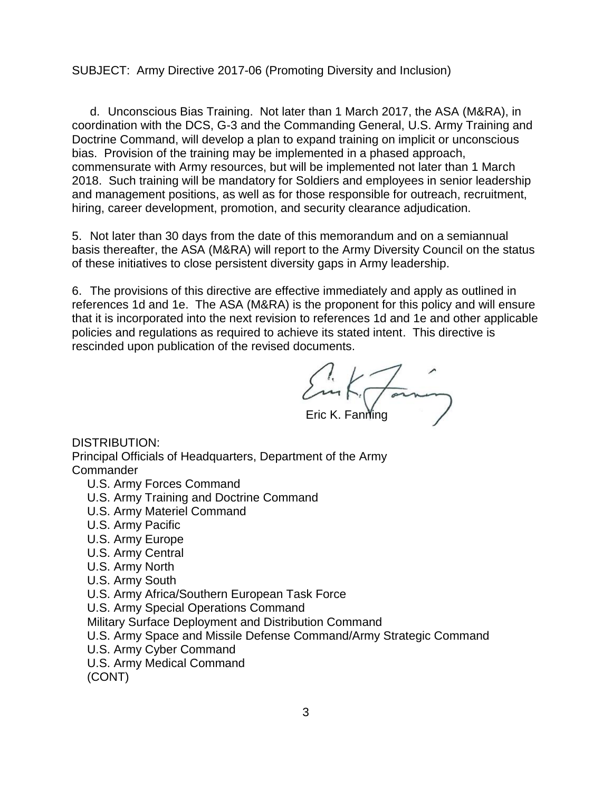SUBJECT: Army Directive 2017-06 (Promoting Diversity and Inclusion)

d. Unconscious Bias Training. Not later than 1 March 2017, the ASA (M&RA), in coordination with the DCS, G-3 and the Commanding General, U.S. Army Training and Doctrine Command, will develop a plan to expand training on implicit or unconscious bias. Provision of the training may be implemented in a phased approach, commensurate with Army resources, but will be implemented not later than 1 March 2018. Such training will be mandatory for Soldiers and employees in senior leadership and management positions, as well as for those responsible for outreach, recruitment, hiring, career development, promotion, and security clearance adjudication.

5. Not later than 30 days from the date of this memorandum and on a semiannual basis thereafter, the ASA (M&RA) will report to the Army Diversity Council on the status of these initiatives to close persistent diversity gaps in Army leadership.

6. The provisions of this directive are effective immediately and apply as outlined in references 1d and 1e. The ASA (M&RA) is the proponent for this policy and will ensure that it is incorporated into the next revision to references 1d and 1e and other applicable policies and regulations as required to achieve its stated intent. This directive is rescinded upon publication of the revised documents.

Eric K. Fanning

DISTRIBUTION: Principal Officials of Headquarters, Department of the Army Commander

- U.S. Army Forces Command
- U.S. Army Training and Doctrine Command
- U.S. Army Materiel Command
- U.S. Army Pacific
- U.S. Army Europe
- U.S. Army Central
- U.S. Army North
- U.S. Army South
- U.S. Army Africa/Southern European Task Force

U.S. Army Special Operations Command

Military Surface Deployment and Distribution Command

- U.S. Army Space and Missile Defense Command/Army Strategic Command
- U.S. Army Cyber Command
- U.S. Army Medical Command

(CONT)